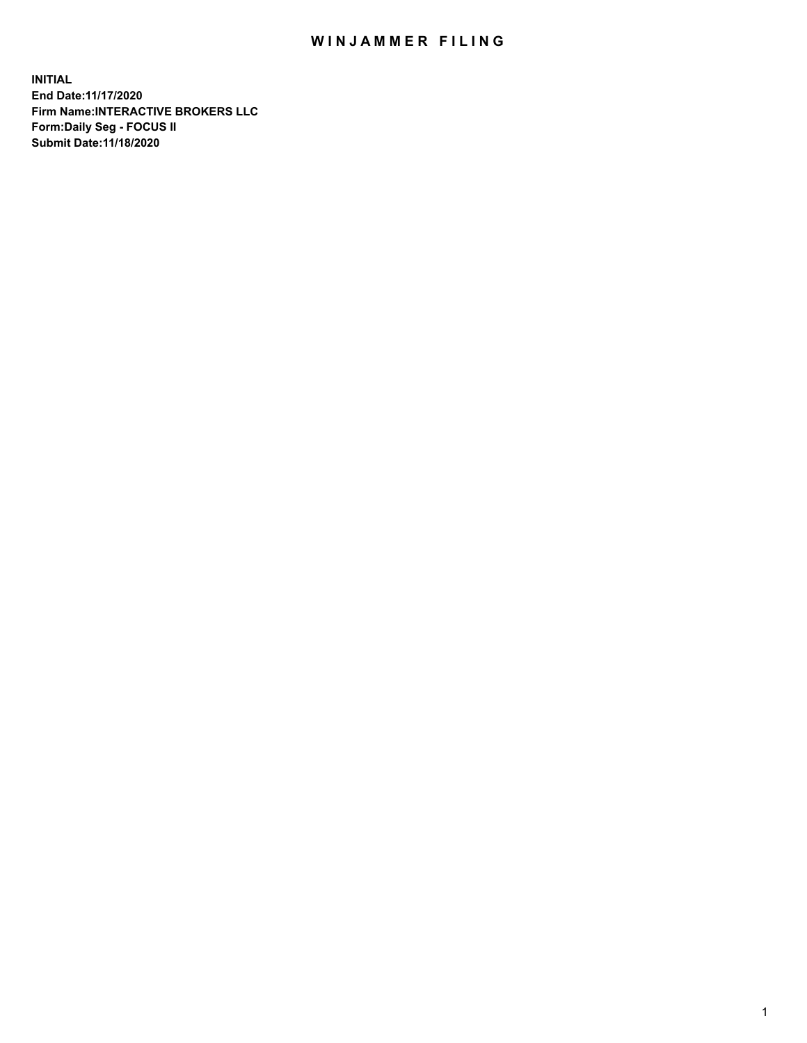## WIN JAMMER FILING

**INITIAL End Date:11/17/2020 Firm Name:INTERACTIVE BROKERS LLC Form:Daily Seg - FOCUS II Submit Date:11/18/2020**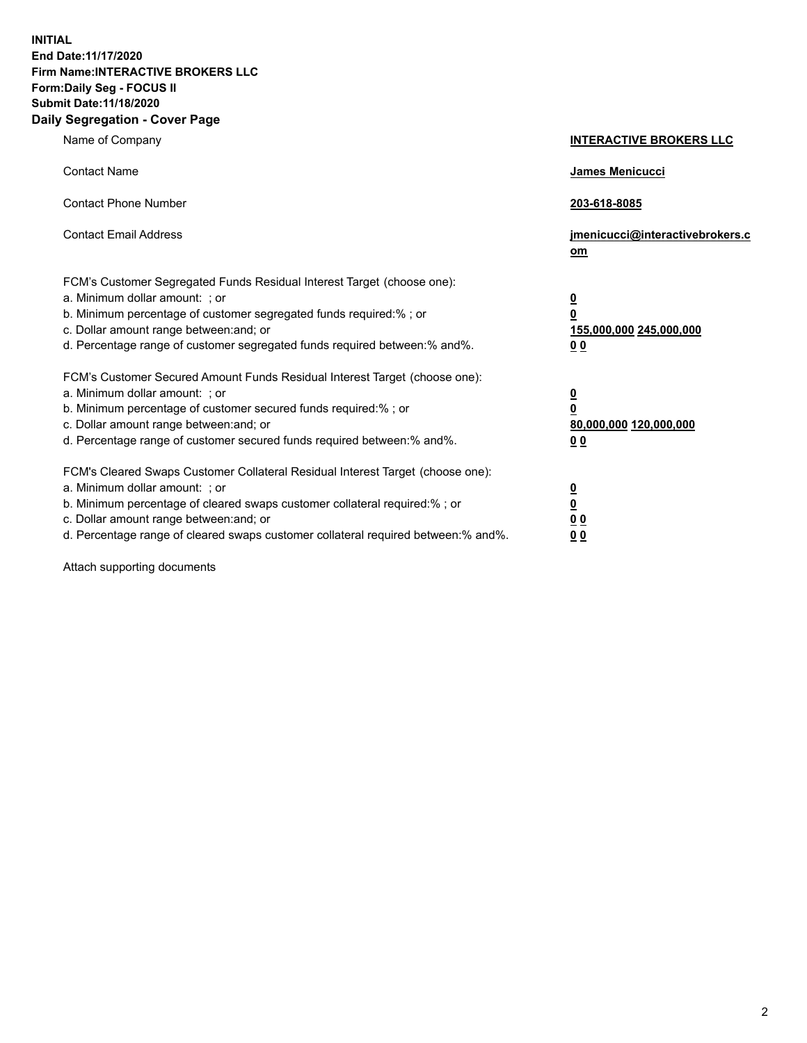**INITIAL End Date:11/17/2020 Firm Name:INTERACTIVE BROKERS LLC Form:Daily Seg - FOCUS II Submit Date:11/18/2020 Daily Segregation - Cover Page**

| Name of Company                                                                                                                                                                                                                                                                                                                | <b>INTERACTIVE BROKERS LLC</b>                                                                           |
|--------------------------------------------------------------------------------------------------------------------------------------------------------------------------------------------------------------------------------------------------------------------------------------------------------------------------------|----------------------------------------------------------------------------------------------------------|
| <b>Contact Name</b>                                                                                                                                                                                                                                                                                                            | James Menicucci                                                                                          |
| <b>Contact Phone Number</b>                                                                                                                                                                                                                                                                                                    | 203-618-8085                                                                                             |
| <b>Contact Email Address</b>                                                                                                                                                                                                                                                                                                   | jmenicucci@interactivebrokers.c<br>om                                                                    |
| FCM's Customer Segregated Funds Residual Interest Target (choose one):<br>a. Minimum dollar amount: ; or<br>b. Minimum percentage of customer segregated funds required:% ; or<br>c. Dollar amount range between: and; or<br>d. Percentage range of customer segregated funds required between:% and%.                         | $\overline{\mathbf{0}}$<br>$\overline{\mathbf{0}}$<br>155,000,000 245,000,000<br>0 <sub>0</sub>          |
| FCM's Customer Secured Amount Funds Residual Interest Target (choose one):<br>a. Minimum dollar amount: ; or<br>b. Minimum percentage of customer secured funds required:%; or<br>c. Dollar amount range between: and; or<br>d. Percentage range of customer secured funds required between:% and%.                            | $\overline{\mathbf{0}}$<br>$\overline{\mathbf{0}}$<br>80,000,000 120,000,000<br>00                       |
| FCM's Cleared Swaps Customer Collateral Residual Interest Target (choose one):<br>a. Minimum dollar amount: ; or<br>b. Minimum percentage of cleared swaps customer collateral required:% ; or<br>c. Dollar amount range between: and; or<br>d. Percentage range of cleared swaps customer collateral required between:% and%. | $\overline{\mathbf{0}}$<br>$\underline{\mathbf{0}}$<br>$\underline{0}$ $\underline{0}$<br>0 <sub>0</sub> |

Attach supporting documents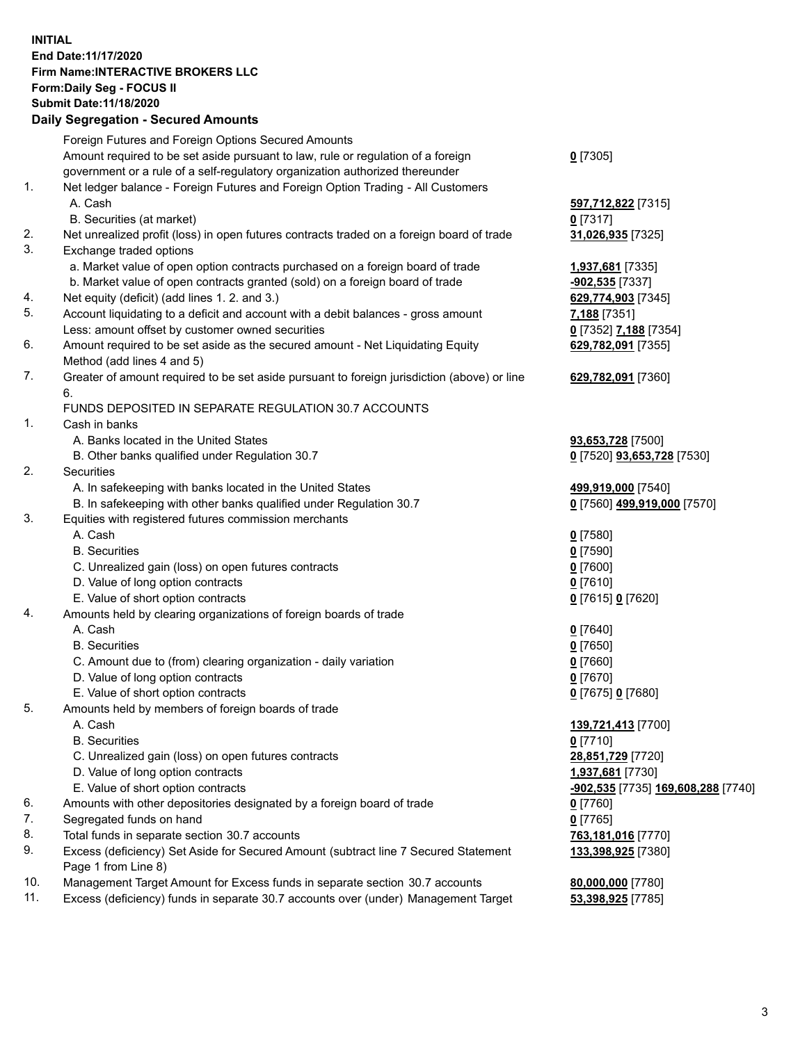## **INITIAL End Date:11/17/2020 Firm Name:INTERACTIVE BROKERS LLC Form:Daily Seg - FOCUS II Submit Date:11/18/2020 Daily Segregation - Secured Amounts**

| Daily Jegregation - Jeculed Aniounts                                                        |                                                                                                                                                                                                                                                                                                                                                                                                                                                                                                                                                                                                                                                                                                                                                                                                                                                                                                                                                                                                                                                                                                                                                                                                                                                                     |
|---------------------------------------------------------------------------------------------|---------------------------------------------------------------------------------------------------------------------------------------------------------------------------------------------------------------------------------------------------------------------------------------------------------------------------------------------------------------------------------------------------------------------------------------------------------------------------------------------------------------------------------------------------------------------------------------------------------------------------------------------------------------------------------------------------------------------------------------------------------------------------------------------------------------------------------------------------------------------------------------------------------------------------------------------------------------------------------------------------------------------------------------------------------------------------------------------------------------------------------------------------------------------------------------------------------------------------------------------------------------------|
| Foreign Futures and Foreign Options Secured Amounts                                         |                                                                                                                                                                                                                                                                                                                                                                                                                                                                                                                                                                                                                                                                                                                                                                                                                                                                                                                                                                                                                                                                                                                                                                                                                                                                     |
| Amount required to be set aside pursuant to law, rule or regulation of a foreign            | $0$ [7305]                                                                                                                                                                                                                                                                                                                                                                                                                                                                                                                                                                                                                                                                                                                                                                                                                                                                                                                                                                                                                                                                                                                                                                                                                                                          |
| government or a rule of a self-regulatory organization authorized thereunder                |                                                                                                                                                                                                                                                                                                                                                                                                                                                                                                                                                                                                                                                                                                                                                                                                                                                                                                                                                                                                                                                                                                                                                                                                                                                                     |
| Net ledger balance - Foreign Futures and Foreign Option Trading - All Customers             |                                                                                                                                                                                                                                                                                                                                                                                                                                                                                                                                                                                                                                                                                                                                                                                                                                                                                                                                                                                                                                                                                                                                                                                                                                                                     |
| A. Cash                                                                                     | 597,712,822 [7315]                                                                                                                                                                                                                                                                                                                                                                                                                                                                                                                                                                                                                                                                                                                                                                                                                                                                                                                                                                                                                                                                                                                                                                                                                                                  |
| B. Securities (at market)                                                                   | $0$ [7317]                                                                                                                                                                                                                                                                                                                                                                                                                                                                                                                                                                                                                                                                                                                                                                                                                                                                                                                                                                                                                                                                                                                                                                                                                                                          |
| Net unrealized profit (loss) in open futures contracts traded on a foreign board of trade   | 31,026,935 [7325]                                                                                                                                                                                                                                                                                                                                                                                                                                                                                                                                                                                                                                                                                                                                                                                                                                                                                                                                                                                                                                                                                                                                                                                                                                                   |
| Exchange traded options                                                                     |                                                                                                                                                                                                                                                                                                                                                                                                                                                                                                                                                                                                                                                                                                                                                                                                                                                                                                                                                                                                                                                                                                                                                                                                                                                                     |
| a. Market value of open option contracts purchased on a foreign board of trade              | 1,937,681 [7335]                                                                                                                                                                                                                                                                                                                                                                                                                                                                                                                                                                                                                                                                                                                                                                                                                                                                                                                                                                                                                                                                                                                                                                                                                                                    |
| b. Market value of open contracts granted (sold) on a foreign board of trade                | -902,535 [7337]                                                                                                                                                                                                                                                                                                                                                                                                                                                                                                                                                                                                                                                                                                                                                                                                                                                                                                                                                                                                                                                                                                                                                                                                                                                     |
|                                                                                             | 629,774,903 [7345]                                                                                                                                                                                                                                                                                                                                                                                                                                                                                                                                                                                                                                                                                                                                                                                                                                                                                                                                                                                                                                                                                                                                                                                                                                                  |
| Account liquidating to a deficit and account with a debit balances - gross amount           | 7,188 [7351]                                                                                                                                                                                                                                                                                                                                                                                                                                                                                                                                                                                                                                                                                                                                                                                                                                                                                                                                                                                                                                                                                                                                                                                                                                                        |
| Less: amount offset by customer owned securities                                            | 0 [7352] 7,188 [7354]                                                                                                                                                                                                                                                                                                                                                                                                                                                                                                                                                                                                                                                                                                                                                                                                                                                                                                                                                                                                                                                                                                                                                                                                                                               |
| Amount required to be set aside as the secured amount - Net Liquidating Equity              | 629,782,091 [7355]                                                                                                                                                                                                                                                                                                                                                                                                                                                                                                                                                                                                                                                                                                                                                                                                                                                                                                                                                                                                                                                                                                                                                                                                                                                  |
| Method (add lines 4 and 5)                                                                  |                                                                                                                                                                                                                                                                                                                                                                                                                                                                                                                                                                                                                                                                                                                                                                                                                                                                                                                                                                                                                                                                                                                                                                                                                                                                     |
| Greater of amount required to be set aside pursuant to foreign jurisdiction (above) or line | 629,782,091 [7360]                                                                                                                                                                                                                                                                                                                                                                                                                                                                                                                                                                                                                                                                                                                                                                                                                                                                                                                                                                                                                                                                                                                                                                                                                                                  |
| 6.                                                                                          |                                                                                                                                                                                                                                                                                                                                                                                                                                                                                                                                                                                                                                                                                                                                                                                                                                                                                                                                                                                                                                                                                                                                                                                                                                                                     |
|                                                                                             |                                                                                                                                                                                                                                                                                                                                                                                                                                                                                                                                                                                                                                                                                                                                                                                                                                                                                                                                                                                                                                                                                                                                                                                                                                                                     |
| Cash in banks                                                                               |                                                                                                                                                                                                                                                                                                                                                                                                                                                                                                                                                                                                                                                                                                                                                                                                                                                                                                                                                                                                                                                                                                                                                                                                                                                                     |
|                                                                                             | 93,653,728 [7500]                                                                                                                                                                                                                                                                                                                                                                                                                                                                                                                                                                                                                                                                                                                                                                                                                                                                                                                                                                                                                                                                                                                                                                                                                                                   |
| B. Other banks qualified under Regulation 30.7                                              | 0 [7520] 93,653,728 [7530]                                                                                                                                                                                                                                                                                                                                                                                                                                                                                                                                                                                                                                                                                                                                                                                                                                                                                                                                                                                                                                                                                                                                                                                                                                          |
| Securities                                                                                  |                                                                                                                                                                                                                                                                                                                                                                                                                                                                                                                                                                                                                                                                                                                                                                                                                                                                                                                                                                                                                                                                                                                                                                                                                                                                     |
| A. In safekeeping with banks located in the United States                                   | 499,919,000 [7540]                                                                                                                                                                                                                                                                                                                                                                                                                                                                                                                                                                                                                                                                                                                                                                                                                                                                                                                                                                                                                                                                                                                                                                                                                                                  |
| B. In safekeeping with other banks qualified under Regulation 30.7                          | 0 [7560] 499,919,000 [7570]                                                                                                                                                                                                                                                                                                                                                                                                                                                                                                                                                                                                                                                                                                                                                                                                                                                                                                                                                                                                                                                                                                                                                                                                                                         |
|                                                                                             |                                                                                                                                                                                                                                                                                                                                                                                                                                                                                                                                                                                                                                                                                                                                                                                                                                                                                                                                                                                                                                                                                                                                                                                                                                                                     |
| A. Cash                                                                                     | $0$ [7580]                                                                                                                                                                                                                                                                                                                                                                                                                                                                                                                                                                                                                                                                                                                                                                                                                                                                                                                                                                                                                                                                                                                                                                                                                                                          |
| <b>B.</b> Securities                                                                        | $0$ [7590]                                                                                                                                                                                                                                                                                                                                                                                                                                                                                                                                                                                                                                                                                                                                                                                                                                                                                                                                                                                                                                                                                                                                                                                                                                                          |
|                                                                                             | $0$ [7600]                                                                                                                                                                                                                                                                                                                                                                                                                                                                                                                                                                                                                                                                                                                                                                                                                                                                                                                                                                                                                                                                                                                                                                                                                                                          |
|                                                                                             | $0$ [7610]                                                                                                                                                                                                                                                                                                                                                                                                                                                                                                                                                                                                                                                                                                                                                                                                                                                                                                                                                                                                                                                                                                                                                                                                                                                          |
|                                                                                             | 0 [7615] 0 [7620]                                                                                                                                                                                                                                                                                                                                                                                                                                                                                                                                                                                                                                                                                                                                                                                                                                                                                                                                                                                                                                                                                                                                                                                                                                                   |
|                                                                                             |                                                                                                                                                                                                                                                                                                                                                                                                                                                                                                                                                                                                                                                                                                                                                                                                                                                                                                                                                                                                                                                                                                                                                                                                                                                                     |
|                                                                                             | $0$ [7640]                                                                                                                                                                                                                                                                                                                                                                                                                                                                                                                                                                                                                                                                                                                                                                                                                                                                                                                                                                                                                                                                                                                                                                                                                                                          |
|                                                                                             | $0$ [7650]                                                                                                                                                                                                                                                                                                                                                                                                                                                                                                                                                                                                                                                                                                                                                                                                                                                                                                                                                                                                                                                                                                                                                                                                                                                          |
|                                                                                             | $0$ [7660]                                                                                                                                                                                                                                                                                                                                                                                                                                                                                                                                                                                                                                                                                                                                                                                                                                                                                                                                                                                                                                                                                                                                                                                                                                                          |
|                                                                                             | $0$ [7670]                                                                                                                                                                                                                                                                                                                                                                                                                                                                                                                                                                                                                                                                                                                                                                                                                                                                                                                                                                                                                                                                                                                                                                                                                                                          |
|                                                                                             | 0 [7675] 0 [7680]                                                                                                                                                                                                                                                                                                                                                                                                                                                                                                                                                                                                                                                                                                                                                                                                                                                                                                                                                                                                                                                                                                                                                                                                                                                   |
|                                                                                             |                                                                                                                                                                                                                                                                                                                                                                                                                                                                                                                                                                                                                                                                                                                                                                                                                                                                                                                                                                                                                                                                                                                                                                                                                                                                     |
|                                                                                             | 139,721,413 [7700]                                                                                                                                                                                                                                                                                                                                                                                                                                                                                                                                                                                                                                                                                                                                                                                                                                                                                                                                                                                                                                                                                                                                                                                                                                                  |
|                                                                                             | $0$ [7710]                                                                                                                                                                                                                                                                                                                                                                                                                                                                                                                                                                                                                                                                                                                                                                                                                                                                                                                                                                                                                                                                                                                                                                                                                                                          |
|                                                                                             | 28,851,729 [7720]                                                                                                                                                                                                                                                                                                                                                                                                                                                                                                                                                                                                                                                                                                                                                                                                                                                                                                                                                                                                                                                                                                                                                                                                                                                   |
|                                                                                             | 1,937,681 [7730]                                                                                                                                                                                                                                                                                                                                                                                                                                                                                                                                                                                                                                                                                                                                                                                                                                                                                                                                                                                                                                                                                                                                                                                                                                                    |
|                                                                                             | <u>-<b>902,535</b></u> [7735] <u>169,608,288</u> [7740]                                                                                                                                                                                                                                                                                                                                                                                                                                                                                                                                                                                                                                                                                                                                                                                                                                                                                                                                                                                                                                                                                                                                                                                                             |
|                                                                                             | 0 [7760]                                                                                                                                                                                                                                                                                                                                                                                                                                                                                                                                                                                                                                                                                                                                                                                                                                                                                                                                                                                                                                                                                                                                                                                                                                                            |
|                                                                                             | $0$ [7765]                                                                                                                                                                                                                                                                                                                                                                                                                                                                                                                                                                                                                                                                                                                                                                                                                                                                                                                                                                                                                                                                                                                                                                                                                                                          |
|                                                                                             | 763,181,016 [7770]                                                                                                                                                                                                                                                                                                                                                                                                                                                                                                                                                                                                                                                                                                                                                                                                                                                                                                                                                                                                                                                                                                                                                                                                                                                  |
|                                                                                             | 133,398,925 [7380]                                                                                                                                                                                                                                                                                                                                                                                                                                                                                                                                                                                                                                                                                                                                                                                                                                                                                                                                                                                                                                                                                                                                                                                                                                                  |
|                                                                                             |                                                                                                                                                                                                                                                                                                                                                                                                                                                                                                                                                                                                                                                                                                                                                                                                                                                                                                                                                                                                                                                                                                                                                                                                                                                                     |
|                                                                                             | 80,000,000 [7780]                                                                                                                                                                                                                                                                                                                                                                                                                                                                                                                                                                                                                                                                                                                                                                                                                                                                                                                                                                                                                                                                                                                                                                                                                                                   |
|                                                                                             | 53,398,925 [7785]                                                                                                                                                                                                                                                                                                                                                                                                                                                                                                                                                                                                                                                                                                                                                                                                                                                                                                                                                                                                                                                                                                                                                                                                                                                   |
|                                                                                             | Net equity (deficit) (add lines 1.2. and 3.)<br>FUNDS DEPOSITED IN SEPARATE REGULATION 30.7 ACCOUNTS<br>A. Banks located in the United States<br>Equities with registered futures commission merchants<br>C. Unrealized gain (loss) on open futures contracts<br>D. Value of long option contracts<br>E. Value of short option contracts<br>Amounts held by clearing organizations of foreign boards of trade<br>A. Cash<br><b>B.</b> Securities<br>C. Amount due to (from) clearing organization - daily variation<br>D. Value of long option contracts<br>E. Value of short option contracts<br>Amounts held by members of foreign boards of trade<br>A. Cash<br><b>B.</b> Securities<br>C. Unrealized gain (loss) on open futures contracts<br>D. Value of long option contracts<br>E. Value of short option contracts<br>Amounts with other depositories designated by a foreign board of trade<br>Segregated funds on hand<br>Total funds in separate section 30.7 accounts<br>Excess (deficiency) Set Aside for Secured Amount (subtract line 7 Secured Statement<br>Page 1 from Line 8)<br>Management Target Amount for Excess funds in separate section 30.7 accounts<br>Excess (deficiency) funds in separate 30.7 accounts over (under) Management Target |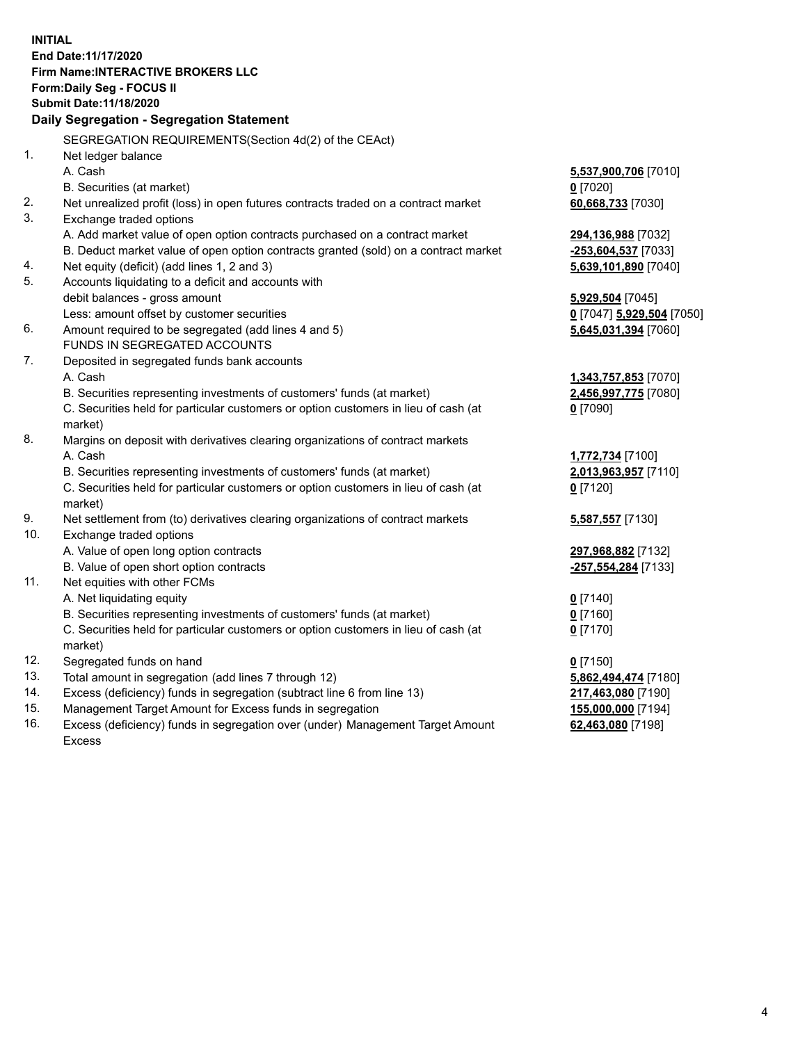**INITIAL End Date:11/17/2020 Firm Name:INTERACTIVE BROKERS LLC Form:Daily Seg - FOCUS II Submit Date:11/18/2020 Daily Segregation - Segregation Statement** SEGREGATION REQUIREMENTS(Section 4d(2) of the CEAct) 1. Net ledger balance A. Cash **5,537,900,706** [7010] B. Securities (at market) **0** [7020] 2. Net unrealized profit (loss) in open futures contracts traded on a contract market **60,668,733** [7030] 3. Exchange traded options A. Add market value of open option contracts purchased on a contract market **294,136,988** [7032] B. Deduct market value of open option contracts granted (sold) on a contract market **-253,604,537** [7033] 4. Net equity (deficit) (add lines 1, 2 and 3) **5,639,101,890** [7040] 5. Accounts liquidating to a deficit and accounts with debit balances - gross amount **5,929,504** [7045] Less: amount offset by customer securities **0** [7047] **5,929,504** [7050] 6. Amount required to be segregated (add lines 4 and 5) **5,645,031,394** [7060] FUNDS IN SEGREGATED ACCOUNTS 7. Deposited in segregated funds bank accounts A. Cash **1,343,757,853** [7070] B. Securities representing investments of customers' funds (at market) **2,456,997,775** [7080] C. Securities held for particular customers or option customers in lieu of cash (at market) **0** [7090] 8. Margins on deposit with derivatives clearing organizations of contract markets A. Cash **1,772,734** [7100] B. Securities representing investments of customers' funds (at market) **2,013,963,957** [7110] C. Securities held for particular customers or option customers in lieu of cash (at market) **0** [7120] 9. Net settlement from (to) derivatives clearing organizations of contract markets **5,587,557** [7130] 10. Exchange traded options A. Value of open long option contracts **297,968,882** [7132] B. Value of open short option contracts **-257,554,284** [7133] 11. Net equities with other FCMs A. Net liquidating equity **0** [7140] B. Securities representing investments of customers' funds (at market) **0** [7160] C. Securities held for particular customers or option customers in lieu of cash (at market) **0** [7170] 12. Segregated funds on hand **0** [7150] 13. Total amount in segregation (add lines 7 through 12) **5,862,494,474** [7180] 14. Excess (deficiency) funds in segregation (subtract line 6 from line 13) **217,463,080** [7190] 15. Management Target Amount for Excess funds in segregation **155,000,000** [7194] **62,463,080** [7198]

16. Excess (deficiency) funds in segregation over (under) Management Target Amount Excess